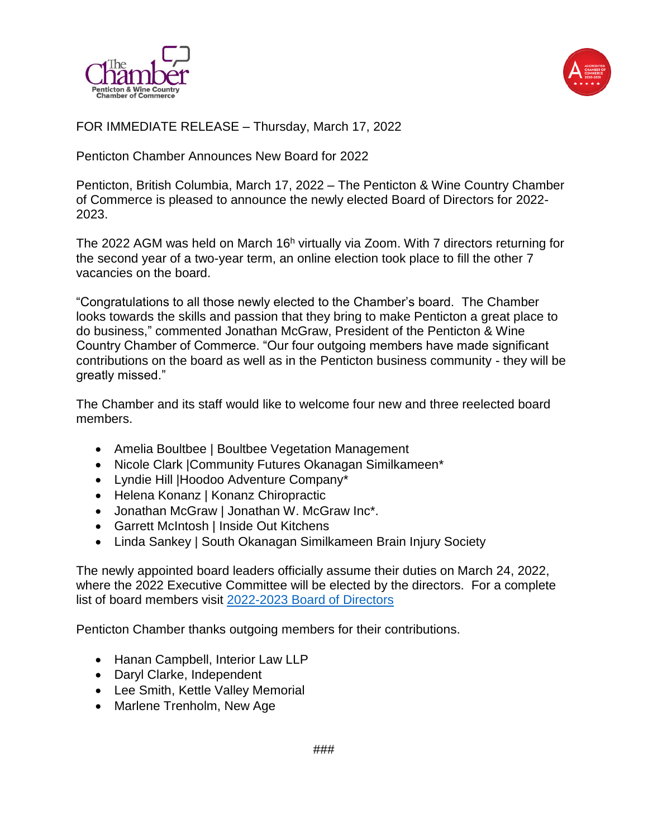



FOR IMMEDIATE RELEASE – Thursday, March 17, 2022

Penticton Chamber Announces New Board for 2022

Penticton, British Columbia, March 17, 2022 – The Penticton & Wine Country Chamber of Commerce is pleased to announce the newly elected Board of Directors for 2022- 2023.

The 2022 AGM was held on March  $16<sup>h</sup>$  virtually via Zoom. With 7 directors returning for the second year of a two-year term, an online election took place to fill the other 7 vacancies on the board.

"Congratulations to all those newly elected to the Chamber's board. The Chamber looks towards the skills and passion that they bring to make Penticton a great place to do business," commented Jonathan McGraw, President of the Penticton & Wine Country Chamber of Commerce. "Our four outgoing members have made significant contributions on the board as well as in the Penticton business community - they will be greatly missed."

The Chamber and its staff would like to welcome four new and three reelected board members.

- Amelia Boultbee | Boultbee Vegetation Management
- Nicole Clark | Community Futures Okanagan Similkameen\*
- Lyndie Hill |Hoodoo Adventure Company\*
- Helena Konanz | Konanz Chiropractic
- Jonathan McGraw | Jonathan W. McGraw Inc\*.
- Garrett McIntosh | Inside Out Kitchens
- Linda Sankey | South Okanagan Similkameen Brain Injury Society

The newly appointed board leaders officially assume their duties on March 24, 2022, where the 2022 Executive Committee will be elected by the directors. For a complete list of board members visit [2022-2023 Board of Directors](https://www.penticton.org/about/board-of-directors/)

Penticton Chamber thanks outgoing members for their contributions.

- Hanan Campbell, Interior Law LLP
- Daryl Clarke, Independent
- Lee Smith, Kettle Valley Memorial
- Marlene Trenholm, New Age